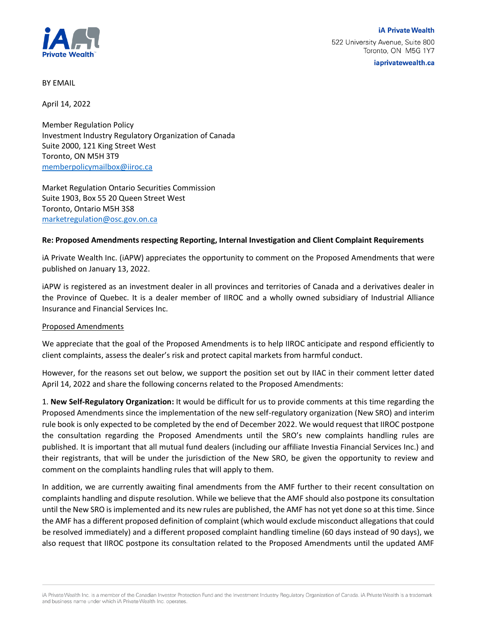

iaprivatewealth.ca

BY EMAIL

April 14, 2022

Member Regulation Policy Investment Industry Regulatory Organization of Canada Suite 2000, 121 King Street West Toronto, ON M5H 3T9 [memberpolicymailbox@iiroc.ca](mailto:memberpolicymailbox@iiroc.ca)

Market Regulation Ontario Securities Commission Suite 1903, Box 55 20 Queen Street West Toronto, Ontario M5H 3S8 [marketregulation@osc.gov.on.ca](mailto:marketregulation@osc.gov.on.ca)

## **Re: Proposed Amendments respecting Reporting, Internal Investigation and Client Complaint Requirements**

iA Private Wealth Inc. (iAPW) appreciates the opportunity to comment on the Proposed Amendments that were published on January 13, 2022.

iAPW is registered as an investment dealer in all provinces and territories of Canada and a derivatives dealer in the Province of Quebec. It is a dealer member of IIROC and a wholly owned subsidiary of Industrial Alliance Insurance and Financial Services Inc.

## Proposed Amendments

We appreciate that the goal of the Proposed Amendments is to help IIROC anticipate and respond efficiently to client complaints, assess the dealer's risk and protect capital markets from harmful conduct.

However, for the reasons set out below, we support the position set out by IIAC in their comment letter dated April 14, 2022 and share the following concerns related to the Proposed Amendments:

1. **New Self-Regulatory Organization:** It would be difficult for us to provide comments at this time regarding the Proposed Amendments since the implementation of the new self-regulatory organization (New SRO) and interim rule book is only expected to be completed by the end of December 2022. We would request that IIROC postpone the consultation regarding the Proposed Amendments until the SRO's new complaints handling rules are published. It is important that all mutual fund dealers (including our affiliate Investia Financial Services Inc.) and their registrants, that will be under the jurisdiction of the New SRO, be given the opportunity to review and comment on the complaints handling rules that will apply to them.

In addition, we are currently awaiting final amendments from the AMF further to their recent consultation on complaints handling and dispute resolution. While we believe that the AMF should also postpone its consultation until the New SRO is implemented and its new rules are published, the AMF has not yet done so at this time. Since the AMF has a different proposed definition of complaint (which would exclude misconduct allegations that could be resolved immediately) and a different proposed complaint handling timeline (60 days instead of 90 days), we also request that IIROC postpone its consultation related to the Proposed Amendments until the updated AMF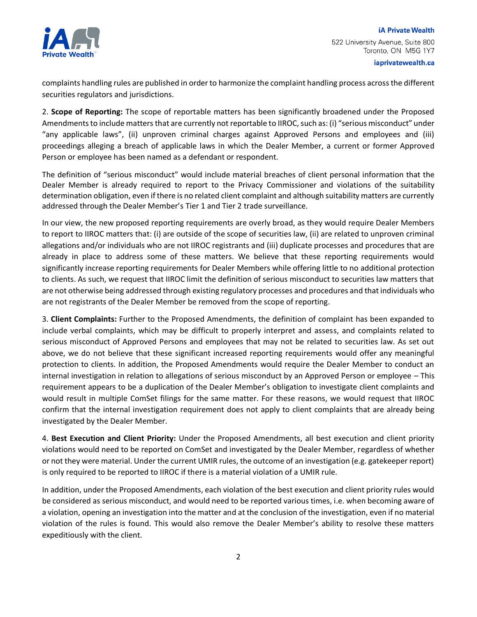

iaprivatewealth.ca

complaints handling rules are published in order to harmonize the complaint handling process across the different securities regulators and jurisdictions.

2. **Scope of Reporting:** The scope of reportable matters has been significantly broadened under the Proposed Amendments to include matters that are currently not reportable to IIROC, such as: (i) "serious misconduct" under "any applicable laws", (ii) unproven criminal charges against Approved Persons and employees and (iii) proceedings alleging a breach of applicable laws in which the Dealer Member, a current or former Approved Person or employee has been named as a defendant or respondent.

The definition of "serious misconduct" would include material breaches of client personal information that the Dealer Member is already required to report to the Privacy Commissioner and violations of the suitability determination obligation, even if there is no related client complaint and although suitability matters are currently addressed through the Dealer Member's Tier 1 and Tier 2 trade surveillance.

In our view, the new proposed reporting requirements are overly broad, as they would require Dealer Members to report to IIROC matters that: (i) are outside of the scope of securities law, (ii) are related to unproven criminal allegations and/or individuals who are not IIROC registrants and (iii) duplicate processes and procedures that are already in place to address some of these matters. We believe that these reporting requirements would significantly increase reporting requirements for Dealer Members while offering little to no additional protection to clients. As such, we request that IIROC limit the definition of serious misconduct to securities law matters that are not otherwise being addressed through existing regulatory processes and procedures and that individuals who are not registrants of the Dealer Member be removed from the scope of reporting.

3. **Client Complaints:** Further to the Proposed Amendments, the definition of complaint has been expanded to include verbal complaints, which may be difficult to properly interpret and assess, and complaints related to serious misconduct of Approved Persons and employees that may not be related to securities law. As set out above, we do not believe that these significant increased reporting requirements would offer any meaningful protection to clients. In addition, the Proposed Amendments would require the Dealer Member to conduct an internal investigation in relation to allegations of serious misconduct by an Approved Person or employee – This requirement appears to be a duplication of the Dealer Member's obligation to investigate client complaints and would result in multiple ComSet filings for the same matter. For these reasons, we would request that IIROC confirm that the internal investigation requirement does not apply to client complaints that are already being investigated by the Dealer Member.

4. **Best Execution and Client Priority:** Under the Proposed Amendments, all best execution and client priority violations would need to be reported on ComSet and investigated by the Dealer Member, regardless of whether or not they were material. Under the current UMIR rules, the outcome of an investigation (e.g. gatekeeper report) is only required to be reported to IIROC if there is a material violation of a UMIR rule.

In addition, under the Proposed Amendments, each violation of the best execution and client priority rules would be considered as serious misconduct, and would need to be reported various times, i.e. when becoming aware of a violation, opening an investigation into the matter and at the conclusion of the investigation, even if no material violation of the rules is found. This would also remove the Dealer Member's ability to resolve these matters expeditiously with the client.